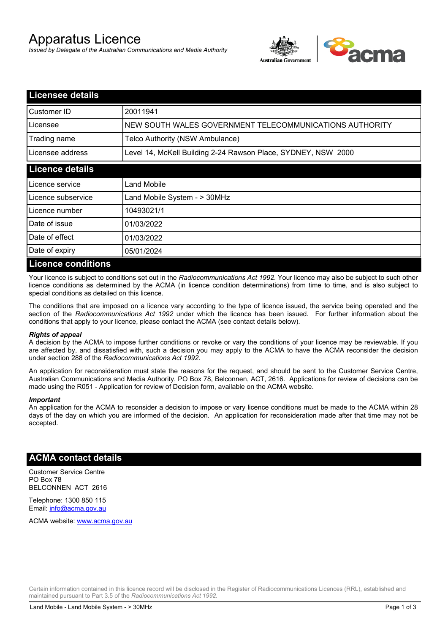# Apparatus Licence

*Issued by Delegate of the Australian Communications and Media Authority*



| <b>Licensee details</b>   |                                                               |
|---------------------------|---------------------------------------------------------------|
| Customer ID               | 20011941                                                      |
| Licensee                  | NEW SOUTH WALES GOVERNMENT TELECOMMUNICATIONS AUTHORITY       |
| Trading name              | Telco Authority (NSW Ambulance)                               |
| Licensee address          | Level 14, McKell Building 2-24 Rawson Place, SYDNEY, NSW 2000 |
| <b>Licence details</b>    |                                                               |
| Licence service           | Land Mobile                                                   |
| Licence subservice        | Land Mobile System - > 30MHz                                  |
| Licence number            | 10493021/1                                                    |
| Date of issue             | 01/03/2022                                                    |
| Date of effect            | 01/03/2022                                                    |
| Date of expiry            | 05/01/2024                                                    |
| <b>Licence conditions</b> |                                                               |

Your licence is subject to conditions set out in the *Radiocommunications Act 1992*. Your licence may also be subject to such other licence conditions as determined by the ACMA (in licence condition determinations) from time to time, and is also subject to special conditions as detailed on this licence.

The conditions that are imposed on a licence vary according to the type of licence issued, the service being operated and the section of the *Radiocommunications Act 1992* under which the licence has been issued. For further information about the conditions that apply to your licence, please contact the ACMA (see contact details below).

#### *Rights of appeal*

A decision by the ACMA to impose further conditions or revoke or vary the conditions of your licence may be reviewable. If you are affected by, and dissatisfied with, such a decision you may apply to the ACMA to have the ACMA reconsider the decision under section 288 of the *Radiocommunications Act 1992*.

An application for reconsideration must state the reasons for the request, and should be sent to the Customer Service Centre, Australian Communications and Media Authority, PO Box 78, Belconnen, ACT, 2616. Applications for review of decisions can be made using the R051 - Application for review of Decision form, available on the ACMA website.

#### *Important*

An application for the ACMA to reconsider a decision to impose or vary licence conditions must be made to the ACMA within 28 days of the day on which you are informed of the decision. An application for reconsideration made after that time may not be accepted.

### **ACMA contact details**

Customer Service Centre PO Box 78 BELCONNEN ACT 2616

Telephone: 1300 850 115 Email: info@acma.gov.au

ACMA website: www.acma.gov.au

Certain information contained in this licence record will be disclosed in the Register of Radiocommunications Licences (RRL), established and maintained pursuant to Part 3.5 of the *Radiocommunications Act 1992.*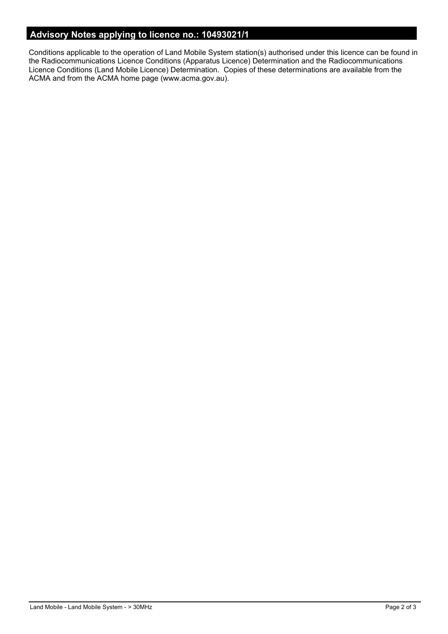# **Advisory Notes applying to licence no.: 10493021/1**

Conditions applicable to the operation of Land Mobile System station(s) authorised under this licence can be found in the Radiocommunications Licence Conditions (Apparatus Licence) Determination and the Radiocommunications Licence Conditions (Land Mobile Licence) Determination. Copies of these determinations are available from the ACMA and from the ACMA home page (www.acma.gov.au).